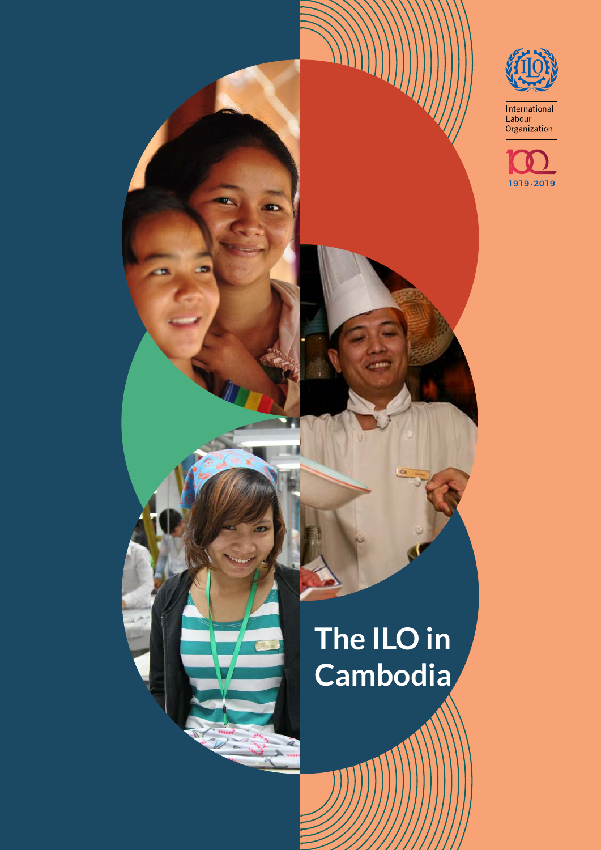

International<br>Labour<br>Organization



# **The ILO in Cambodia**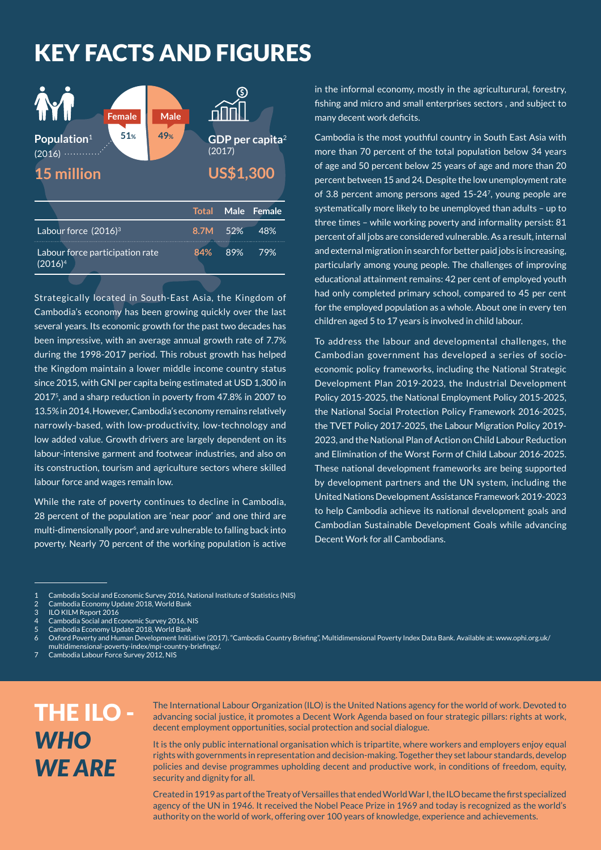### KEY FACTS AND FIGURES

| <b>Female</b><br>51 <sub>%</sub><br>Population <sup>1</sup><br>(2016)<br>15 million | <b>Male</b><br>49% |              | (2017)<br><b>US\$1,300</b> | GDP per capita <sup>2</sup> |
|-------------------------------------------------------------------------------------|--------------------|--------------|----------------------------|-----------------------------|
|                                                                                     |                    | <b>Total</b> | <b>Male</b>                | <b>Female</b>               |
| Labour force $(2016)^3$                                                             |                    | 8.7M         | 52%                        | 48%                         |
| Labour force participation rate<br>$(2016)^4$                                       |                    | 84%          | 89%                        | 79%                         |

Strategically located in South-East Asia, the Kingdom of Cambodia's economy has been growing quickly over the last several years. Its economic growth for the past two decades has been impressive, with an average annual growth rate of 7.7% during the 1998-2017 period. This robust growth has helped the Kingdom maintain a lower middle income country status since 2015, with GNI per capita being estimated at USD 1,300 in 20175, and a sharp reduction in poverty from 47.8% in 2007 to 13.5% in 2014. However, Cambodia's economy remains relatively narrowly-based, with low-productivity, low-technology and low added value. Growth drivers are largely dependent on its labour-intensive garment and footwear industries, and also on its construction, tourism and agriculture sectors where skilled labour force and wages remain low.

While the rate of poverty continues to decline in Cambodia, 28 percent of the population are 'near poor' and one third are multi-dimensionally poor<sup>6</sup>, and are vulnerable to falling back into poverty. Nearly 70 percent of the working population is active in the informal economy, mostly in the agriculturural, forestry, fishing and micro and small enterprises sectors , and subject to many decent work deficits.

Cambodia is the most youthful country in South East Asia with more than 70 percent of the total population below 34 years of age and 50 percent below 25 years of age and more than 20 percent between 15 and 24. Despite the low unemployment rate of 3.8 percent among persons aged 15-247, young people are systematically more likely to be unemployed than adults – up to three times – while working poverty and informality persist: 81 percent of all jobs are considered vulnerable. As a result, internal and external migration in search for better paid jobs is increasing, particularly among young people. The challenges of improving educational attainment remains: 42 per cent of employed youth had only completed primary school, compared to 45 per cent for the employed population as a whole. About one in every ten children aged 5 to 17 years is involved in child labour.

To address the labour and developmental challenges, the Cambodian government has developed a series of socioeconomic policy frameworks, including the National Strategic Development Plan 2019-2023, the Industrial Development Policy 2015-2025, the National Employment Policy 2015-2025, the National Social Protection Policy Framework 2016-2025, the TVET Policy 2017-2025, the Labour Migration Policy 2019- 2023, and the National Plan of Action on Child Labour Reduction and Elimination of the Worst Form of Child Labour 2016-2025. These national development frameworks are being supported by development partners and the UN system, including the United Nations Development Assistance Framework 2019-2023 to help Cambodia achieve its national development goals and Cambodian Sustainable Development Goals while advancing Decent Work for all Cambodians.

6 Oxford Poverty and Human Development Initiative (2017). "Cambodia Country Briefing", Multidimensional Poverty Index Data Bank. Available at: www.ophi.org.uk/

multidimensional-poverty-index/mpi-country-briefings/.

### THE ILO - *WHO WE ARE*

The International Labour Organization (ILO) is the United Nations agency for the world of work. Devoted to advancing social justice, it promotes a Decent Work Agenda based on four strategic pillars: rights at work, decent employment opportunities, social protection and social dialogue.

It is the only public international organisation which is tripartite, where workers and employers enjoy equal rights with governments in representation and decision-making. Together they set labour standards, develop policies and devise programmes upholding decent and productive work, in conditions of freedom, equity, security and dignity for all.

Created in 1919 as part of the Treaty of Versailles that ended World War I, the ILO became the first specialized agency of the UN in 1946. It received the Nobel Peace Prize in 1969 and today is recognized as the world's authority on the world of work, offering over 100 years of knowledge, experience and achievements.

<sup>1</sup> Cambodia Social and Economic Survey 2016, National Institute of Statistics (NIS)

<sup>2</sup> Cambodia Economy Update 2018, World Bank<br>3 ILO KILM Report 2016

<sup>3</sup> ILO KILM Report 2016

<sup>4</sup> Cambodia Social and Economic Survey 2016, NIS

<sup>5</sup> Cambodia Economy Update 2018, World Bank

<sup>7</sup> Cambodia Labour Force Survey 2012, NIS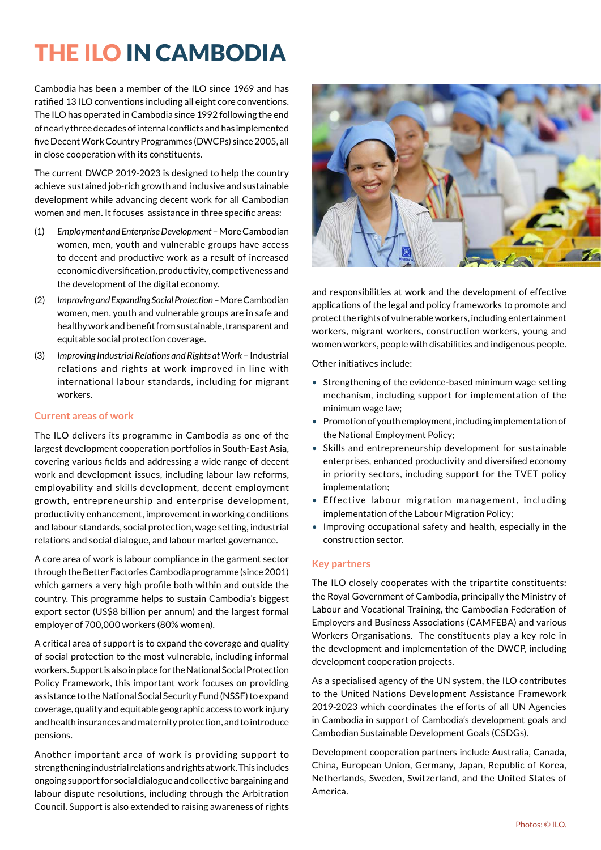## THE ILO IN CAMBODIA

Cambodia has been a member of the ILO since 1969 and has ratified 13 ILO conventions including all eight core conventions. The ILO has operated in Cambodia since 1992 following the end of nearly three decades of internal conflicts and has implemented five Decent Work Country Programmes (DWCPs) since 2005, all in close cooperation with its constituents.

The current DWCP 2019-2023 is designed to help the country achieve sustained job-rich growth and inclusive and sustainable development while advancing decent work for all Cambodian women and men. It focuses assistance in three specific areas:

- (1) *Employment and Enterprise Development*  More Cambodian women, men, youth and vulnerable groups have access to decent and productive work as a result of increased economic diversification, productivity, competiveness and the development of the digital economy.
- (2) *Improving and ExpandingSocial Protection*  More Cambodian women, men, youth and vulnerable groups are in safe and healthy work and benefit from sustainable, transparent and equitable social protection coverage.
- (3) *Improving Industrial Relations and Rights at Work* Industrial relations and rights at work improved in line with international labour standards, including for migrant workers.

#### **Current areas of work**

The ILO delivers its programme in Cambodia as one of the largest development cooperation portfolios in South-East Asia, covering various fields and addressing a wide range of decent work and development issues, including labour law reforms, employability and skills development, decent employment growth, entrepreneurship and enterprise development, productivity enhancement, improvement in working conditions and labour standards, social protection, wage setting, industrial relations and social dialogue, and labour market governance.

A core area of work is labour compliance in the garment sector through the Better Factories Cambodia programme (since 2001) which garners a very high profile both within and outside the country. This programme helps to sustain Cambodia's biggest export sector (US\$8 billion per annum) and the largest formal employer of 700,000 workers (80% women).

A critical area of support is to expand the coverage and quality of social protection to the most vulnerable, including informal workers. Support is also in place for the National Social Protection Policy Framework, this important work focuses on providing assistance to the National Social Security Fund (NSSF) to expand coverage, quality and equitable geographic access to work injury and health insurances and maternity protection, and to introduce pensions.

Another important area of work is providing support to strengthening industrial relations and rights at work. This includes ongoing support for social dialogue and collective bargaining and labour dispute resolutions, including through the Arbitration Council. Support is also extended to raising awareness of rights



and responsibilities at work and the development of effective applications of the legal and policy frameworks to promote and protect the rights of vulnerable workers, including entertainment workers, migrant workers, construction workers, young and women workers, people with disabilities and indigenous people.

Other initiatives include:

- Strengthening of the evidence-based minimum wage setting mechanism, including support for implementation of the minimum wage law;
- Promotion of youth employment, including implementation of the National Employment Policy;
- Skills and entrepreneurship development for sustainable enterprises, enhanced productivity and diversified economy in priority sectors, including support for the TVET policy implementation;
- Effective labour migration management, including implementation of the Labour Migration Policy;
- Improving occupational safety and health, especially in the construction sector.

#### **Key partners**

The ILO closely cooperates with the tripartite constituents: the Royal Government of Cambodia, principally the Ministry of Labour and Vocational Training, the Cambodian Federation of Employers and Business Associations (CAMFEBA) and various Workers Organisations. The constituents play a key role in the development and implementation of the DWCP, including development cooperation projects.

As a specialised agency of the UN system, the ILO contributes to the United Nations Development Assistance Framework 2019-2023 which coordinates the efforts of all UN Agencies in Cambodia in support of Cambodia's development goals and Cambodian Sustainable Development Goals (CSDGs).

Development cooperation partners include Australia, Canada, China, European Union, Germany, Japan, Republic of Korea, Netherlands, Sweden, Switzerland, and the United States of America.